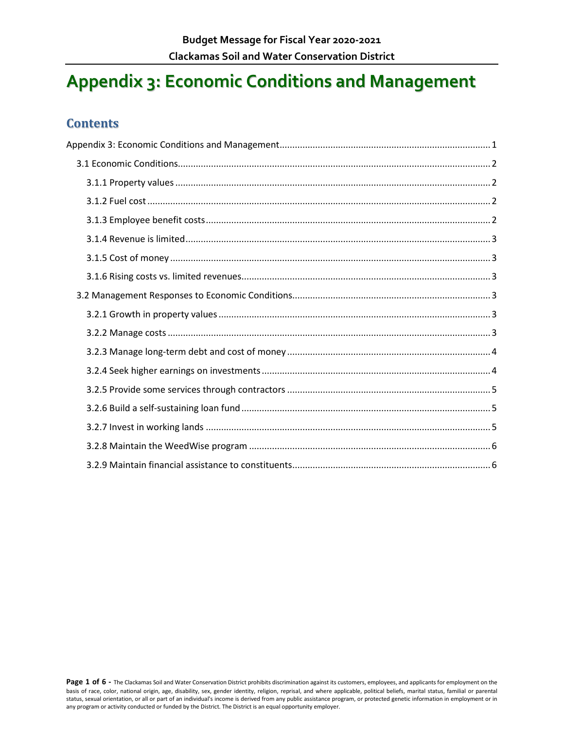# <span id="page-0-0"></span>**Appendix 3: Economic Conditions and Management**

### **Contents**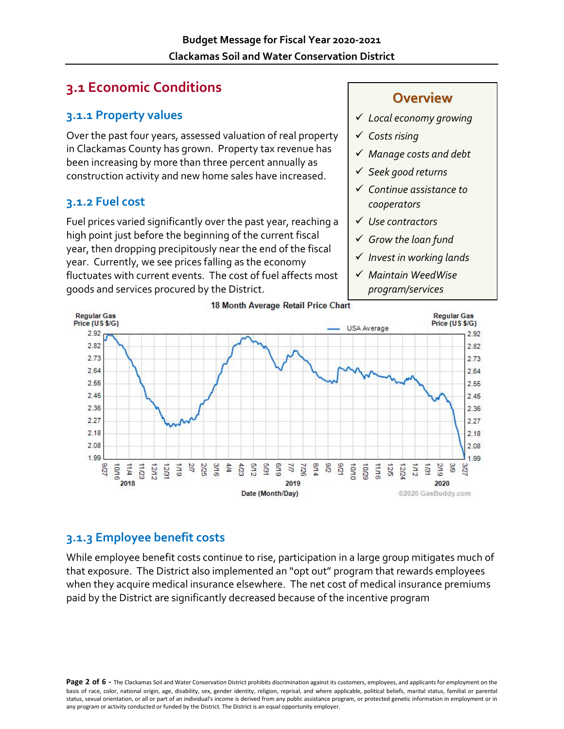# <span id="page-1-0"></span>**3.1 Economic Conditions**

### <span id="page-1-1"></span>**3.1.1 Property values**

Over the past four years, assessed valuation of real property in Clackamas County has grown. Property tax revenue has been increasing by more than three percent annually as construction activity and new home sales have increased.

### <span id="page-1-2"></span>**3.1.2 Fuel cost**

Fuel prices varied significantly over the past year, reaching a high point just before the beginning of the current fiscal year, then dropping precipitously near the end of the fiscal year. Currently, we see prices falling as the economy fluctuates with current events. The cost of fuel affects most goods and services procured by the District.

### **Overview**

- *Local economy growing*
- *Costs rising*
- *Manage costs and debt*
- *Seek good returns*
- *Continue assistance to cooperators*
- *Use contractors*
- *Grow the loan fund*
- *Invest in working lands*
- *Maintain WeedWise program/services*



### <span id="page-1-3"></span>**3.1.3 Employee benefit costs**

While employee benefit costs continue to rise, participation in a large group mitigates much of that exposure. The District also implemented an "opt out" program that rewards employees when they acquire medical insurance elsewhere. The net cost of medical insurance premiums paid by the District are significantly decreased because of the incentive program

Page 2 of 6 - The Clackamas Soil and Water Conservation District prohibits discrimination against its customers, employees, and applicants for employment on the basis of race, color, national origin, age, disability, sex, gender identity, religion, reprisal, and where applicable, political beliefs, marital status, familial or parental status, sexual orientation, or all or part of an individual's income is derived from any public assistance program, or protected genetic information in employment or in any program or activity conducted or funded by the District. The District is an equal opportunity employer.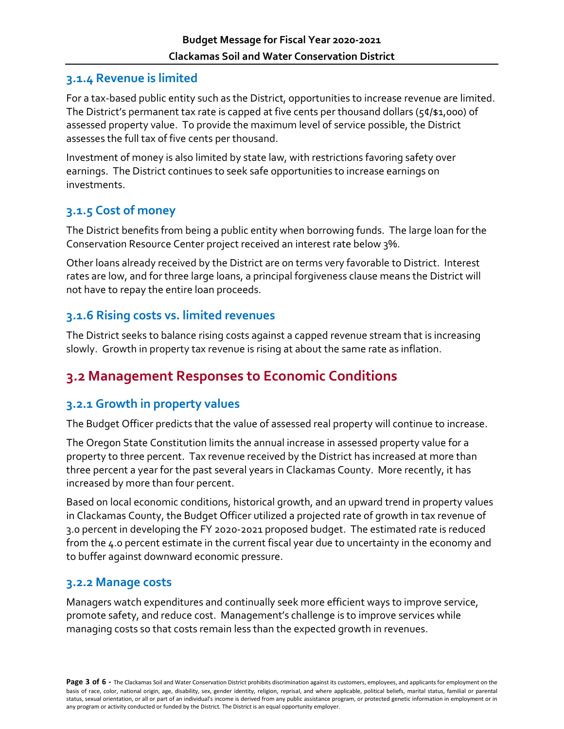### <span id="page-2-0"></span>**3.1.4 Revenue is limited**

For a tax-based public entity such as the District, opportunities to increase revenue are limited. The District's permanent tax rate is capped at five cents per thousand dollars ( $54/1,000$ ) of assessed property value. To provide the maximum level of service possible, the District assesses the full tax of five cents per thousand.

Investment of money is also limited by state law, with restrictions favoring safety over earnings. The District continues to seek safe opportunities to increase earnings on investments.

### <span id="page-2-1"></span>**3.1.5 Cost of money**

The District benefits from being a public entity when borrowing funds. The large loan for the Conservation Resource Center project received an interest rate below 3%.

Other loans already received by the District are on terms very favorable to District. Interest rates are low, and for three large loans, a principal forgiveness clause means the District will not have to repay the entire loan proceeds.

### <span id="page-2-2"></span>**3.1.6 Rising costs vs. limited revenues**

The District seeks to balance rising costs against a capped revenue stream that is increasing slowly. Growth in property tax revenue is rising at about the same rate as inflation.

# <span id="page-2-3"></span>**3.2 Management Responses to Economic Conditions**

### <span id="page-2-4"></span>**3.2.1 Growth in property values**

The Budget Officer predicts that the value of assessed real property will continue to increase.

The Oregon State Constitution limits the annual increase in assessed property value for a property to three percent. Tax revenue received by the District has increased at more than three percent a year for the past several years in Clackamas County. More recently, it has increased by more than four percent.

Based on local economic conditions, historical growth, and an upward trend in property values in Clackamas County, the Budget Officer utilized a projected rate of growth in tax revenue of 3.0 percent in developing the FY 2020-2021 proposed budget. The estimated rate is reduced from the 4.0 percent estimate in the current fiscal year due to uncertainty in the economy and to buffer against downward economic pressure.

#### <span id="page-2-5"></span>**3.2.2 Manage costs**

Managers watch expenditures and continually seek more efficient ways to improve service, promote safety, and reduce cost. Management's challenge is to improve services while managing costs so that costs remain less than the expected growth in revenues.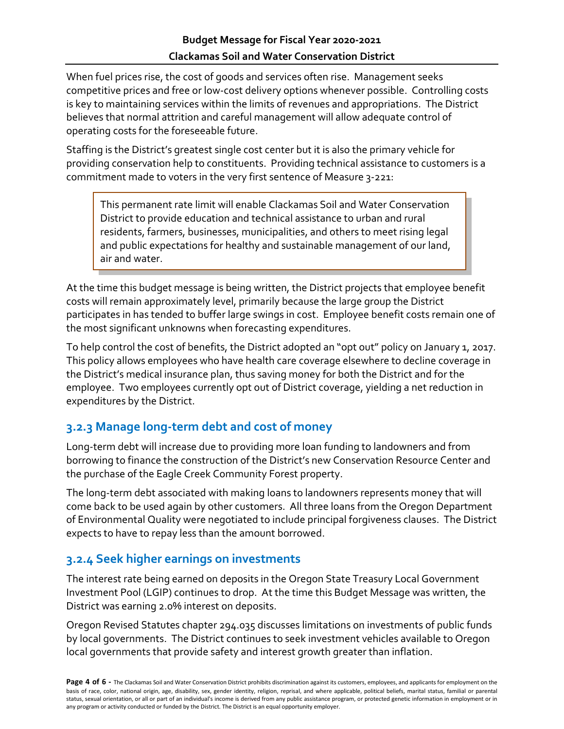When fuel prices rise, the cost of goods and services often rise. Management seeks competitive prices and free or low-cost delivery options whenever possible. Controlling costs is key to maintaining services within the limits of revenues and appropriations. The District believes that normal attrition and careful management will allow adequate control of operating costs for the foreseeable future.

Staffing is the District's greatest single cost center but it is also the primary vehicle for providing conservation help to constituents. Providing technical assistance to customers is a commitment made to voters in the very first sentence of Measure 3-221:

This permanent rate limit will enable Clackamas Soil and Water Conservation District to provide education and technical assistance to urban and rural residents, farmers, businesses, municipalities, and others to meet rising legal and public expectations for healthy and sustainable management of our land, air and water.

At the time this budget message is being written, the District projects that employee benefit costs will remain approximately level, primarily because the large group the District participates in has tended to buffer large swings in cost. Employee benefit costs remain one of the most significant unknowns when forecasting expenditures.

To help control the cost of benefits, the District adopted an "opt out" policy on January 1, 2017. This policy allows employees who have health care coverage elsewhere to decline coverage in the District's medical insurance plan, thus saving money for both the District and for the employee. Two employees currently opt out of District coverage, yielding a net reduction in expenditures by the District.

### <span id="page-3-0"></span>**3.2.3 Manage long-term debt and cost of money**

Long-term debt will increase due to providing more loan funding to landowners and from borrowing to finance the construction of the District's new Conservation Resource Center and the purchase of the Eagle Creek Community Forest property.

The long-term debt associated with making loans to landowners represents money that will come back to be used again by other customers. All three loans from the Oregon Department of Environmental Quality were negotiated to include principal forgiveness clauses. The District expects to have to repay less than the amount borrowed.

### <span id="page-3-1"></span>**3.2.4 Seek higher earnings on investments**

The interest rate being earned on deposits in the Oregon State Treasury Local Government Investment Pool (LGIP) continues to drop. At the time this Budget Message was written, the District was earning 2.0% interest on deposits.

Oregon Revised Statutes chapter 294.035 discusses limitations on investments of public funds by local governments. The District continues to seek investment vehicles available to Oregon local governments that provide safety and interest growth greater than inflation.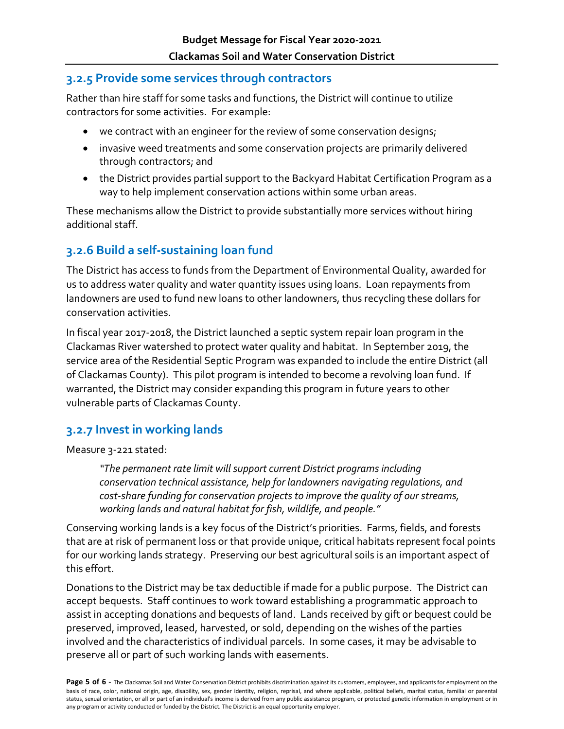### <span id="page-4-0"></span>**3.2.5 Provide some services through contractors**

Rather than hire staff for some tasks and functions, the District will continue to utilize contractors for some activities. For example:

- we contract with an engineer for the review of some conservation designs;
- invasive weed treatments and some conservation projects are primarily delivered through contractors; and
- the District provides partial support to the Backyard Habitat Certification Program as a way to help implement conservation actions within some urban areas.

These mechanisms allow the District to provide substantially more services without hiring additional staff.

### <span id="page-4-1"></span>**3.2.6 Build a self-sustaining loan fund**

The District has access to funds from the Department of Environmental Quality, awarded for us to address water quality and water quantity issues using loans. Loan repayments from landowners are used to fund new loans to other landowners, thus recycling these dollars for conservation activities.

In fiscal year 2017-2018, the District launched a septic system repair loan program in the Clackamas River watershed to protect water quality and habitat. In September 2019, the service area of the Residential Septic Program was expanded to include the entire District (all of Clackamas County). This pilot program is intended to become a revolving loan fund. If warranted, the District may consider expanding this program in future years to other vulnerable parts of Clackamas County.

### <span id="page-4-2"></span>**3.2.7 Invest in working lands**

Measure 3-221 stated:

*"The permanent rate limit will support current District programs including conservation technical assistance, help for landowners navigating regulations, and cost-share funding for conservation projects to improve the quality of our streams, working lands and natural habitat for fish, wildlife, and people."* 

Conserving working lands is a key focus of the District's priorities. Farms, fields, and forests that are at risk of permanent loss or that provide unique, critical habitats represent focal points for our working lands strategy. Preserving our best agricultural soils is an important aspect of this effort.

Donations to the District may be tax deductible if made for a public purpose. The District can accept bequests. Staff continues to work toward establishing a programmatic approach to assist in accepting donations and bequests of land. Lands received by gift or bequest could be preserved, improved, leased, harvested, or sold, depending on the wishes of the parties involved and the characteristics of individual parcels. In some cases, it may be advisable to preserve all or part of such working lands with easements.